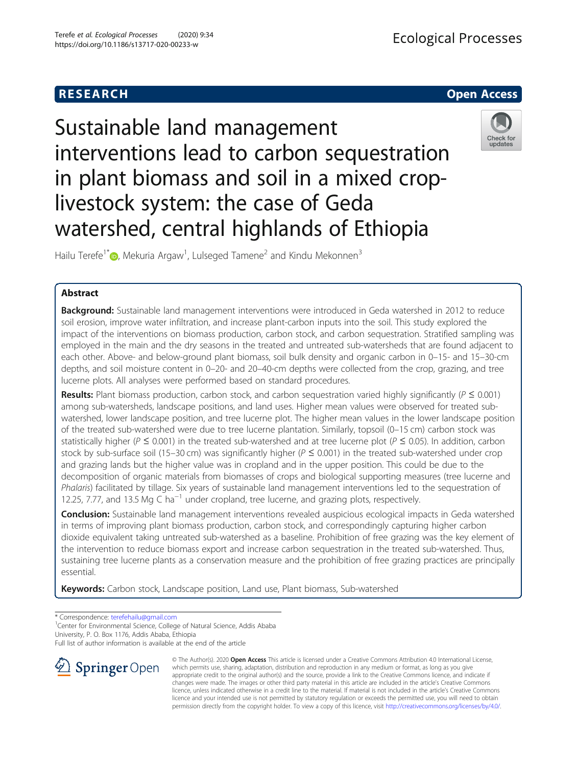## **RESEARCH CHILD CONTROL** CONTROL CONTROL CONTROL CONTROL CONTROL CONTROL CONTROL CONTROL CONTROL CONTROL CONTROL

# Sustainable land management interventions lead to carbon sequestration in plant biomass and soil in a mixed croplivestock system: the case of Geda watershed, central highlands of Ethiopia



Hailu Terefe<sup>1[\\*](http://orcid.org/0000-0002-6795-5333)</sup> $\bm{\odot}$ , Mekuria Argaw<sup>1</sup>, Lulseged Tamene<sup>2</sup> and Kindu Mekonnen<sup>3</sup>

### Abstract

Background: Sustainable land management interventions were introduced in Geda watershed in 2012 to reduce soil erosion, improve water infiltration, and increase plant-carbon inputs into the soil. This study explored the impact of the interventions on biomass production, carbon stock, and carbon sequestration. Stratified sampling was employed in the main and the dry seasons in the treated and untreated sub-watersheds that are found adjacent to each other. Above- and below-ground plant biomass, soil bulk density and organic carbon in 0–15- and 15–30-cm depths, and soil moisture content in 0–20- and 20–40-cm depths were collected from the crop, grazing, and tree lucerne plots. All analyses were performed based on standard procedures.

Results: Plant biomass production, carbon stock, and carbon sequestration varied highly significantly ( $P \le 0.001$ ) among sub-watersheds, landscape positions, and land uses. Higher mean values were observed for treated subwatershed, lower landscape position, and tree lucerne plot. The higher mean values in the lower landscape position of the treated sub-watershed were due to tree lucerne plantation. Similarly, topsoil (0–15 cm) carbon stock was statistically higher ( $P \le 0.001$ ) in the treated sub-watershed and at tree lucerne plot ( $P \le 0.05$ ). In addition, carbon stock by sub-surface soil (15–30 cm) was significantly higher ( $P \le 0.001$ ) in the treated sub-watershed under crop and grazing lands but the higher value was in cropland and in the upper position. This could be due to the decomposition of organic materials from biomasses of crops and biological supporting measures (tree lucerne and Phalaris) facilitated by tillage. Six years of sustainable land management interventions led to the sequestration of 12.25, 7.77, and 13.5 Mg C ha<sup>-1</sup> under cropland, tree lucerne, and grazing plots, respectively.

**Conclusion:** Sustainable land management interventions revealed auspicious ecological impacts in Geda watershed in terms of improving plant biomass production, carbon stock, and correspondingly capturing higher carbon dioxide equivalent taking untreated sub-watershed as a baseline. Prohibition of free grazing was the key element of the intervention to reduce biomass export and increase carbon sequestration in the treated sub-watershed. Thus, sustaining tree lucerne plants as a conservation measure and the prohibition of free grazing practices are principally essential.

Keywords: Carbon stock, Landscape position, Land use, Plant biomass, Sub-watershed

\* Correspondence: [terefehailu@gmail.com](mailto:terefehailu@gmail.com) <sup>1</sup>

<sup>1</sup> Center for Environmental Science, College of Natural Science, Addis Ababa University, P. O. Box 1176, Addis Ababa, Ethiopia

Full list of author information is available at the end of the article



© The Author(s). 2020 Open Access This article is licensed under a Creative Commons Attribution 4.0 International License, which permits use, sharing, adaptation, distribution and reproduction in any medium or format, as long as you give appropriate credit to the original author(s) and the source, provide a link to the Creative Commons licence, and indicate if changes were made. The images or other third party material in this article are included in the article's Creative Commons licence, unless indicated otherwise in a credit line to the material. If material is not included in the article's Creative Commons licence and your intended use is not permitted by statutory regulation or exceeds the permitted use, you will need to obtain permission directly from the copyright holder. To view a copy of this licence, visit <http://creativecommons.org/licenses/by/4.0/>.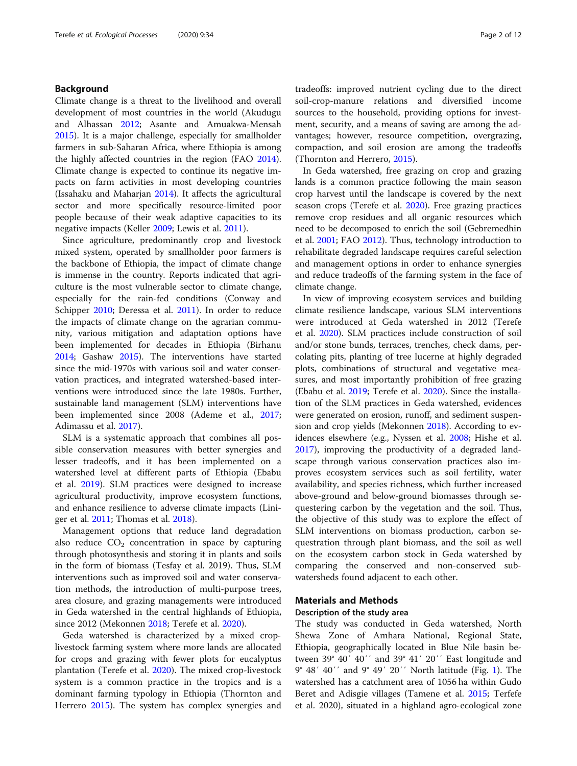#### Background

Climate change is a threat to the livelihood and overall development of most countries in the world (Akudugu and Alhassan [2012](#page-11-0); Asante and Amuakwa-Mensah [2015](#page-11-0)). It is a major challenge, especially for smallholder farmers in sub-Saharan Africa, where Ethiopia is among the highly affected countries in the region (FAO [2014](#page-11-0)). Climate change is expected to continue its negative impacts on farm activities in most developing countries (Issahaku and Maharjan [2014](#page-11-0)). It affects the agricultural sector and more specifically resource-limited poor people because of their weak adaptive capacities to its negative impacts (Keller [2009;](#page-11-0) Lewis et al. [2011](#page-11-0)).

Since agriculture, predominantly crop and livestock mixed system, operated by smallholder poor farmers is the backbone of Ethiopia, the impact of climate change is immense in the country. Reports indicated that agriculture is the most vulnerable sector to climate change, especially for the rain-fed conditions (Conway and Schipper [2010](#page-11-0); Deressa et al. [2011\)](#page-11-0). In order to reduce the impacts of climate change on the agrarian community, various mitigation and adaptation options have been implemented for decades in Ethiopia (Birhanu [2014](#page-11-0); Gashaw [2015](#page-11-0)). The interventions have started since the mid-1970s with various soil and water conservation practices, and integrated watershed-based interventions were introduced since the late 1980s. Further, sustainable land management (SLM) interventions have been implemented since 2008 (Ademe et al., [2017](#page-10-0); Adimassu et al. [2017](#page-10-0)).

SLM is a systematic approach that combines all possible conservation measures with better synergies and lesser tradeoffs, and it has been implemented on a watershed level at different parts of Ethiopia (Ebabu et al. [2019](#page-11-0)). SLM practices were designed to increase agricultural productivity, improve ecosystem functions, and enhance resilience to adverse climate impacts (Liniger et al. [2011;](#page-11-0) Thomas et al. [2018](#page-11-0)).

Management options that reduce land degradation also reduce  $CO<sub>2</sub>$  concentration in space by capturing through photosynthesis and storing it in plants and soils in the form of biomass (Tesfay et al. 2019). Thus, SLM interventions such as improved soil and water conservation methods, the introduction of multi-purpose trees, area closure, and grazing managements were introduced in Geda watershed in the central highlands of Ethiopia, since 2012 (Mekonnen [2018;](#page-11-0) Terefe et al. [2020](#page-11-0)).

Geda watershed is characterized by a mixed croplivestock farming system where more lands are allocated for crops and grazing with fewer plots for eucalyptus plantation (Terefe et al. [2020\)](#page-11-0). The mixed crop-livestock system is a common practice in the tropics and is a dominant farming typology in Ethiopia (Thornton and Herrero [2015](#page-11-0)). The system has complex synergies and tradeoffs: improved nutrient cycling due to the direct soil-crop-manure relations and diversified income sources to the household, providing options for investment, security, and a means of saving are among the advantages; however, resource competition, overgrazing, compaction, and soil erosion are among the tradeoffs (Thornton and Herrero, [2015\)](#page-11-0).

In Geda watershed, free grazing on crop and grazing lands is a common practice following the main season crop harvest until the landscape is covered by the next season crops (Terefe et al. [2020\)](#page-11-0). Free grazing practices remove crop residues and all organic resources which need to be decomposed to enrich the soil (Gebremedhin et al. [2001;](#page-11-0) FAO [2012](#page-11-0)). Thus, technology introduction to rehabilitate degraded landscape requires careful selection and management options in order to enhance synergies and reduce tradeoffs of the farming system in the face of climate change.

In view of improving ecosystem services and building climate resilience landscape, various SLM interventions were introduced at Geda watershed in 2012 (Terefe et al. [2020](#page-11-0)). SLM practices include construction of soil and/or stone bunds, terraces, trenches, check dams, percolating pits, planting of tree lucerne at highly degraded plots, combinations of structural and vegetative measures, and most importantly prohibition of free grazing (Ebabu et al. [2019](#page-11-0); Terefe et al. [2020\)](#page-11-0). Since the installation of the SLM practices in Geda watershed, evidences were generated on erosion, runoff, and sediment suspension and crop yields (Mekonnen [2018\)](#page-11-0). According to evidences elsewhere (e.g., Nyssen et al. [2008;](#page-11-0) Hishe et al. [2017](#page-11-0)), improving the productivity of a degraded landscape through various conservation practices also improves ecosystem services such as soil fertility, water availability, and species richness, which further increased above-ground and below-ground biomasses through sequestering carbon by the vegetation and the soil. Thus, the objective of this study was to explore the effect of SLM interventions on biomass production, carbon sequestration through plant biomass, and the soil as well on the ecosystem carbon stock in Geda watershed by comparing the conserved and non-conserved subwatersheds found adjacent to each other.

#### Materials and Methods

#### Description of the study area

The study was conducted in Geda watershed, North Shewa Zone of Amhara National, Regional State, Ethiopia, geographically located in Blue Nile basin between 39° 40′ 40′′ and 39° 41′ 20′′ East longitude and 9° 48′ 40′′ and 9° 49′ 20′′ North latitude (Fig. [1](#page-2-0)). The watershed has a catchment area of 1056 ha within Gudo Beret and Adisgie villages (Tamene et al. [2015](#page-11-0); Terfefe et al. 2020), situated in a highland agro-ecological zone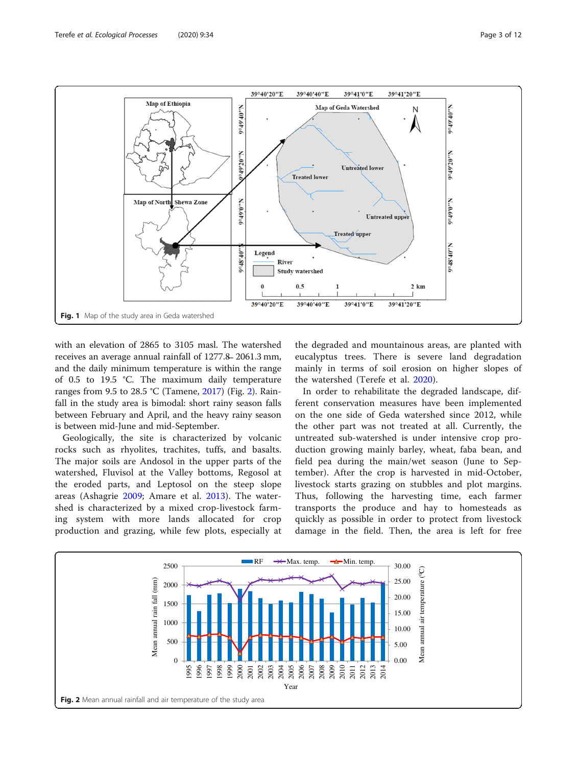<span id="page-2-0"></span>

with an elevation of 2865 to 3105 masl. The watershed receives an average annual rainfall of 1277.8̶2061.3 mm, and the daily minimum temperature is within the range of 0.5 to 19.5 °C. The maximum daily temperature ranges from 9.5 to 28.5 °C (Tamene, [2017\)](#page-11-0) (Fig. 2). Rainfall in the study area is bimodal: short rainy season falls between February and April, and the heavy rainy season is between mid-June and mid-September.

Geologically, the site is characterized by volcanic rocks such as rhyolites, trachites, tuffs, and basalts. The major soils are Andosol in the upper parts of the watershed, Fluvisol at the Valley bottoms, Regosol at the eroded parts, and Leptosol on the steep slope areas (Ashagrie [2009;](#page-11-0) Amare et al. [2013\)](#page-11-0). The watershed is characterized by a mixed crop-livestock farming system with more lands allocated for crop production and grazing, while few plots, especially at the degraded and mountainous areas, are planted with eucalyptus trees. There is severe land degradation mainly in terms of soil erosion on higher slopes of the watershed (Terefe et al. [2020\)](#page-11-0).

In order to rehabilitate the degraded landscape, different conservation measures have been implemented on the one side of Geda watershed since 2012, while the other part was not treated at all. Currently, the untreated sub-watershed is under intensive crop production growing mainly barley, wheat, faba bean, and field pea during the main/wet season (June to September). After the crop is harvested in mid-October, livestock starts grazing on stubbles and plot margins. Thus, following the harvesting time, each farmer transports the produce and hay to homesteads as quickly as possible in order to protect from livestock damage in the field. Then, the area is left for free

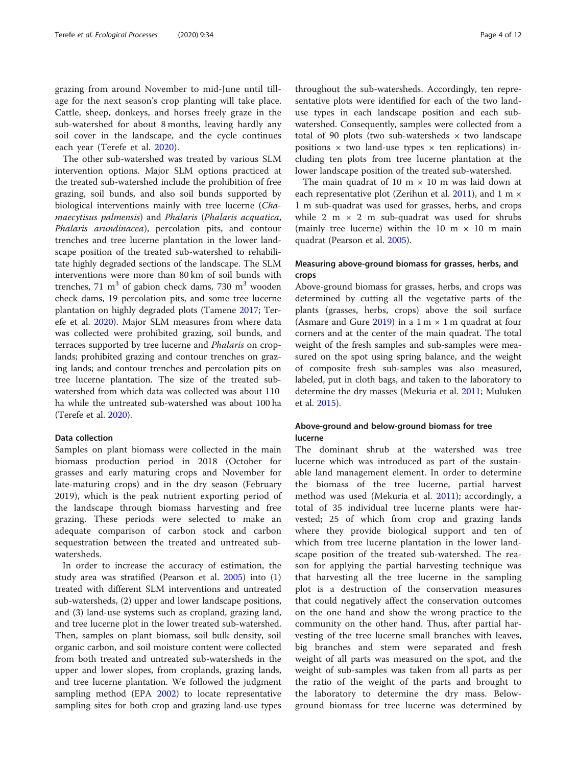grazing from around November to mid-June until tillage for the next season's crop planting will take place. Cattle, sheep, donkeys, and horses freely graze in the sub-watershed for about 8 months, leaving hardly any soil cover in the landscape, and the cycle continues each year (Terefe et al. [2020\)](#page-11-0).

The other sub-watershed was treated by various SLM intervention options. Major SLM options practiced at the treated sub-watershed include the prohibition of free grazing, soil bunds, and also soil bunds supported by biological interventions mainly with tree lucerne (Chamaecytisus palmensis) and Phalaris (Phalaris acquatica, Phalaris arundinacea), percolation pits, and contour trenches and tree lucerne plantation in the lower landscape position of the treated sub-watershed to rehabilitate highly degraded sections of the landscape. The SLM interventions were more than 80 km of soil bunds with trenches, 71 m<sup>3</sup> of gabion check dams, 730 m<sup>3</sup> wooden check dams, 19 percolation pits, and some tree lucerne plantation on highly degraded plots (Tamene [2017;](#page-11-0) Terefe et al. [2020\)](#page-11-0). Major SLM measures from where data was collected were prohibited grazing, soil bunds, and terraces supported by tree lucerne and Phalaris on croplands; prohibited grazing and contour trenches on grazing lands; and contour trenches and percolation pits on tree lucerne plantation. The size of the treated subwatershed from which data was collected was about 110 ha while the untreated sub-watershed was about 100 ha (Terefe et al. [2020](#page-11-0)).

#### Data collection

Samples on plant biomass were collected in the main biomass production period in 2018 (October for grasses and early maturing crops and November for late-maturing crops) and in the dry season (February 2019), which is the peak nutrient exporting period of the landscape through biomass harvesting and free grazing. These periods were selected to make an adequate comparison of carbon stock and carbon sequestration between the treated and untreated subwatersheds.

In order to increase the accuracy of estimation, the study area was stratified (Pearson et al. [2005\)](#page-11-0) into (1) treated with different SLM interventions and untreated sub-watersheds, (2) upper and lower landscape positions, and (3) land-use systems such as cropland, grazing land, and tree lucerne plot in the lower treated sub-watershed. Then, samples on plant biomass, soil bulk density, soil organic carbon, and soil moisture content were collected from both treated and untreated sub-watersheds in the upper and lower slopes, from croplands, grazing lands, and tree lucerne plantation. We followed the judgment sampling method (EPA [2002\)](#page-11-0) to locate representative sampling sites for both crop and grazing land-use types

throughout the sub-watersheds. Accordingly, ten representative plots were identified for each of the two landuse types in each landscape position and each subwatershed. Consequently, samples were collected from a total of 90 plots (two sub-watersheds  $\times$  two landscape positions  $\times$  two land-use types  $\times$  ten replications) including ten plots from tree lucerne plantation at the lower landscape position of the treated sub-watershed.

The main quadrat of 10 m  $\times$  10 m was laid down at each representative plot (Zerihun et al.  $2011$ ), and 1 m  $\times$ 1 m sub-quadrat was used for grasses, herbs, and crops while 2 m  $\times$  2 m sub-quadrat was used for shrubs (mainly tree lucerne) within the 10 m  $\times$  10 m main quadrat (Pearson et al. [2005\)](#page-11-0).

#### Measuring above-ground biomass for grasses, herbs, and crops

Above-ground biomass for grasses, herbs, and crops was determined by cutting all the vegetative parts of the plants (grasses, herbs, crops) above the soil surface (Asmare and Gure  $2019$ ) in a 1 m  $\times$  1 m quadrat at four corners and at the center of the main quadrat. The total weight of the fresh samples and sub-samples were measured on the spot using spring balance, and the weight of composite fresh sub-samples was also measured, labeled, put in cloth bags, and taken to the laboratory to determine the dry masses (Mekuria et al. [2011](#page-11-0); Muluken et al. [2015\)](#page-11-0).

#### Above-ground and below-ground biomass for tree lucerne

The dominant shrub at the watershed was tree lucerne which was introduced as part of the sustainable land management element. In order to determine the biomass of the tree lucerne, partial harvest method was used (Mekuria et al. [2011\)](#page-11-0); accordingly, a total of 35 individual tree lucerne plants were harvested; 25 of which from crop and grazing lands where they provide biological support and ten of which from tree lucerne plantation in the lower landscape position of the treated sub-watershed. The reason for applying the partial harvesting technique was that harvesting all the tree lucerne in the sampling plot is a destruction of the conservation measures that could negatively affect the conservation outcomes on the one hand and show the wrong practice to the community on the other hand. Thus, after partial harvesting of the tree lucerne small branches with leaves, big branches and stem were separated and fresh weight of all parts was measured on the spot, and the weight of sub-samples was taken from all parts as per the ratio of the weight of the parts and brought to the laboratory to determine the dry mass. Belowground biomass for tree lucerne was determined by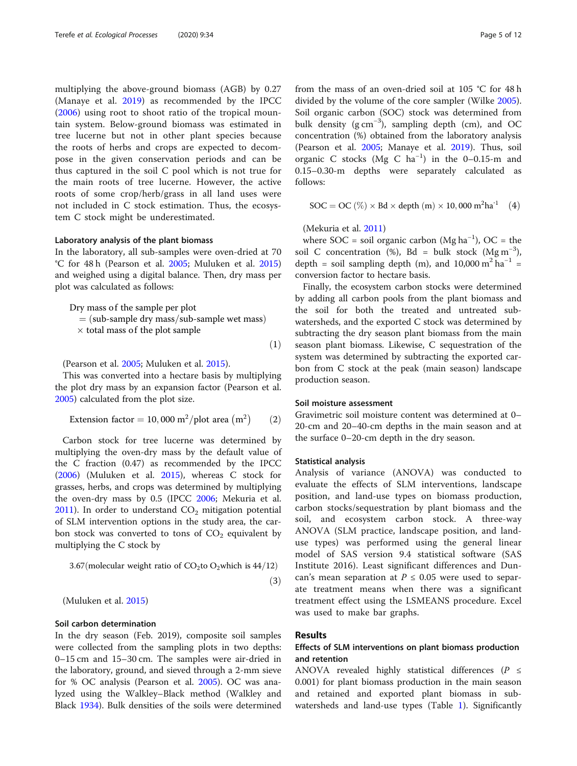multiplying the above-ground biomass (AGB) by 0.27 (Manaye et al. [2019](#page-11-0)) as recommended by the IPCC ([2006\)](#page-11-0) using root to shoot ratio of the tropical mountain system. Below-ground biomass was estimated in tree lucerne but not in other plant species because the roots of herbs and crops are expected to decompose in the given conservation periods and can be thus captured in the soil C pool which is not true for the main roots of tree lucerne. However, the active roots of some crop/herb/grass in all land uses were not included in C stock estimation. Thus, the ecosystem C stock might be underestimated.

#### Laboratory analysis of the plant biomass

In the laboratory, all sub-samples were oven-dried at 70 °C for 48 h (Pearson et al. [2005;](#page-11-0) Muluken et al. [2015](#page-11-0)) and weighed using a digital balance. Then, dry mass per plot was calculated as follows:

Dry mass of the sample per plot  $=$  (sub-sample dry mass/sub-sample wet mass)

 $\times$  total mass of the plot sample

 $(1)$ 

(Pearson et al. [2005](#page-11-0); Muluken et al. [2015\)](#page-11-0).

This was converted into a hectare basis by multiplying the plot dry mass by an expansion factor (Pearson et al. [2005](#page-11-0)) calculated from the plot size.

Extension factor <sup>¼</sup> <sup>10</sup>; 000 m<sup>2</sup> <sup>=</sup>plot area m<sup>2</sup> <sup>ð</sup>2<sup>Þ</sup>

Carbon stock for tree lucerne was determined by multiplying the oven-dry mass by the default value of the C fraction (0.47) as recommended by the IPCC ([2006](#page-11-0)) (Muluken et al. [2015\)](#page-11-0), whereas C stock for grasses, herbs, and crops was determined by multiplying the oven-dry mass by 0.5 (IPCC [2006](#page-11-0); Mekuria et al. [2011](#page-11-0)). In order to understand  $CO<sub>2</sub>$  mitigation potential of SLM intervention options in the study area, the carbon stock was converted to tons of  $CO<sub>2</sub>$  equivalent by multiplying the C stock by

$$
3.67 \text{(molecular weight ratio of CO}_2 \text{to O}_2 \text{which is } 44/12\text{)}
$$

 $(3)$ 

(Muluken et al. [2015](#page-11-0))

#### Soil carbon determination

In the dry season (Feb. 2019), composite soil samples were collected from the sampling plots in two depths: 0–15 cm and 15–30 cm. The samples were air-dried in the laboratory, ground, and sieved through a 2-mm sieve for % OC analysis (Pearson et al. [2005](#page-11-0)). OC was analyzed using the Walkley–Black method (Walkley and Black [1934\)](#page-11-0). Bulk densities of the soils were determined from the mass of an oven-dried soil at 105 °C for 48 h divided by the volume of the core sampler (Wilke [2005](#page-11-0)). Soil organic carbon (SOC) stock was determined from bulk density (g cm−<sup>3</sup> ), sampling depth (cm), and OC concentration (%) obtained from the laboratory analysis (Pearson et al. [2005;](#page-11-0) Manaye et al. [2019](#page-11-0)). Thus, soil organic C stocks (Mg C ha−<sup>1</sup> ) in the 0–0.15-m and 0.15–0.30-m depths were separately calculated as follows:

$$
SOC = OC (\%) \times Bd \times depth (m) \times 10,000 m^2ha^{-1}
$$
 (4)

(Mekuria et al. [2011](#page-11-0))

where  $SOC = soil organic carbon (Mg ha<sup>-1</sup>), OC = the$ soil C concentration (%), Bd = bulk stock  $(Mg\,m^{-3})$ , depth = soil sampling depth (m), and 10,000 m<sup>2</sup> ha<sup>-1</sup> = conversion factor to hectare basis.

Finally, the ecosystem carbon stocks were determined by adding all carbon pools from the plant biomass and the soil for both the treated and untreated subwatersheds, and the exported C stock was determined by subtracting the dry season plant biomass from the main season plant biomass. Likewise, C sequestration of the system was determined by subtracting the exported carbon from C stock at the peak (main season) landscape production season.

#### Soil moisture assessment

Gravimetric soil moisture content was determined at 0– 20-cm and 20–40-cm depths in the main season and at the surface 0–20-cm depth in the dry season.

#### Statistical analysis

Analysis of variance (ANOVA) was conducted to evaluate the effects of SLM interventions, landscape position, and land-use types on biomass production, carbon stocks/sequestration by plant biomass and the soil, and ecosystem carbon stock. A three-way ANOVA (SLM practice, landscape position, and landuse types) was performed using the general linear model of SAS version 9.4 statistical software (SAS Institute 2016). Least significant differences and Duncan's mean separation at  $P \le 0.05$  were used to separate treatment means when there was a significant treatment effect using the LSMEANS procedure. Excel was used to make bar graphs.

#### Results

#### Effects of SLM interventions on plant biomass production and retention

ANOVA revealed highly statistical differences ( $P \leq$ 0.001) for plant biomass production in the main season and retained and exported plant biomass in subwatersheds and land-use types (Table [1\)](#page-5-0). Significantly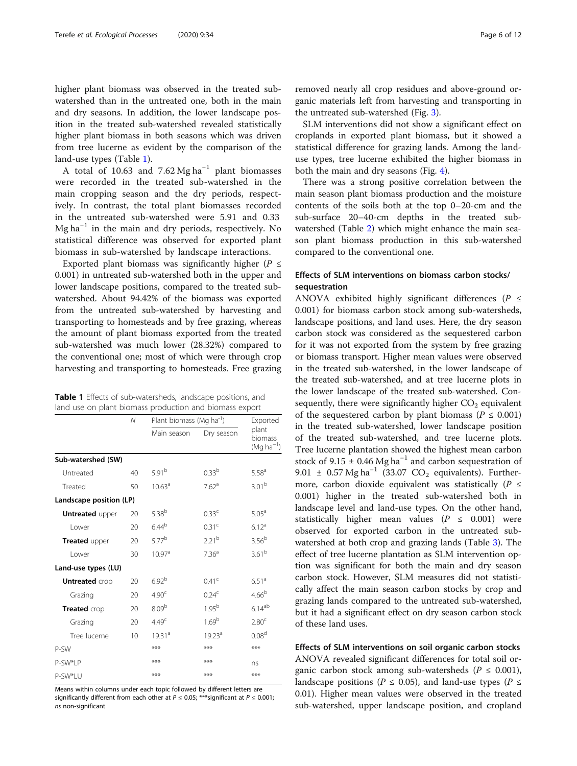<span id="page-5-0"></span>higher plant biomass was observed in the treated subwatershed than in the untreated one, both in the main and dry seasons. In addition, the lower landscape position in the treated sub-watershed revealed statistically higher plant biomass in both seasons which was driven from tree lucerne as evident by the comparison of the land-use types (Table 1).

A total of 10.63 and 7.62 Mg ha<sup>-1</sup> plant biomasses were recorded in the treated sub-watershed in the main cropping season and the dry periods, respectively. In contrast, the total plant biomasses recorded in the untreated sub-watershed were 5.91 and 0.33 Mg ha−<sup>1</sup> in the main and dry periods, respectively. No statistical difference was observed for exported plant biomass in sub-watershed by landscape interactions.

Exported plant biomass was significantly higher ( $P \leq$ 0.001) in untreated sub-watershed both in the upper and lower landscape positions, compared to the treated subwatershed. About 94.42% of the biomass was exported from the untreated sub-watershed by harvesting and transporting to homesteads and by free grazing, whereas the amount of plant biomass exported from the treated sub-watershed was much lower (28.32%) compared to the conventional one; most of which were through crop harvesting and transporting to homesteads. Free grazing

Table 1 Effects of sub-watersheds, landscape positions, and land use on plant biomass production and biomass export

|                         | $\mathcal N$ | Plant biomass (Mg ha <sup>-1</sup> ) | Exported           |                                            |
|-------------------------|--------------|--------------------------------------|--------------------|--------------------------------------------|
|                         |              | Main season                          | Dry season         | plant<br>biomass<br>(Mg ha <sup>-1</sup> ) |
| Sub-watershed (SW)      |              |                                      |                    |                                            |
| Untreated               | 40           | $5.91^{b}$                           | $0.33^{b}$         | $5.58^{a}$                                 |
| Treated                 | 50           | 10.63 <sup>a</sup>                   | 7.62 <sup>a</sup>  | 3.01 <sup>b</sup>                          |
| Landscape position (LP) |              |                                      |                    |                                            |
| <b>Untreated</b> upper  | 20           | $5.38^{b}$                           | $0.33^c$           | $5.05^{\circ}$                             |
| I ower                  | 20           | 6.44 <sup>b</sup>                    | 0.31 <sup>c</sup>  | 6.12 <sup>a</sup>                          |
| Treated upper           | 20           | $5.77^{b}$                           | $2.21^{b}$         | 3.56 <sup>b</sup>                          |
| I ower                  | 30           | 10.97 <sup>a</sup>                   | 7.36 <sup>a</sup>  | 3.61 <sup>b</sup>                          |
| Land-use types (LU)     |              |                                      |                    |                                            |
| <b>Untreated</b> crop   | 20           | 6.92 <sup>b</sup>                    | 0.41 <sup>c</sup>  | 6.51 <sup>a</sup>                          |
| Grazing                 | 20           | 4.90 <sup>c</sup>                    | $0.24^{\circ}$     | 4.66 <sup>b</sup>                          |
| Treated crop            | 20           | 8.09 <sup>b</sup>                    | $1.95^{b}$         | $6.14^{ab}$                                |
| Grazing                 | 20           | 4.49 <sup>c</sup>                    | 1.69 <sup>b</sup>  | 2.80 <sup>c</sup>                          |
| Tree lucerne            | 10           | 1931 <sup>a</sup>                    | 19.23 <sup>a</sup> | 0.08 <sup>d</sup>                          |
| P-SW                    |              | ***                                  | ***                | ***                                        |
| P-SW*I P                |              | ***                                  | ***                | ns                                         |
| P-SW*IU                 |              | ***                                  | ***                | ***                                        |

Means within columns under each topic followed by different letters are significantly different from each other at  $P \le 0.05$ ; \*\*\*significant at  $P \le 0.001$ ; ns non-significant

removed nearly all crop residues and above-ground organic materials left from harvesting and transporting in the untreated sub-watershed (Fig. [3](#page-6-0)).

SLM interventions did not show a significant effect on croplands in exported plant biomass, but it showed a statistical difference for grazing lands. Among the landuse types, tree lucerne exhibited the higher biomass in both the main and dry seasons (Fig. [4](#page-6-0)).

There was a strong positive correlation between the main season plant biomass production and the moisture contents of the soils both at the top 0–20-cm and the sub-surface 20–40-cm depths in the treated subwatershed (Table [2\)](#page-6-0) which might enhance the main season plant biomass production in this sub-watershed compared to the conventional one.

#### Effects of SLM interventions on biomass carbon stocks/ sequestration

ANOVA exhibited highly significant differences ( $P \leq$ 0.001) for biomass carbon stock among sub-watersheds, landscape positions, and land uses. Here, the dry season carbon stock was considered as the sequestered carbon for it was not exported from the system by free grazing or biomass transport. Higher mean values were observed in the treated sub-watershed, in the lower landscape of the treated sub-watershed, and at tree lucerne plots in the lower landscape of the treated sub-watershed. Consequently, there were significantly higher  $CO<sub>2</sub>$  equivalent of the sequestered carbon by plant biomass ( $P \le 0.001$ ) in the treated sub-watershed, lower landscape position of the treated sub-watershed, and tree lucerne plots. Tree lucerne plantation showed the highest mean carbon stock of 9.15  $\pm$  0.46 Mg ha<sup>-1</sup> and carbon sequestration of 9.01  $\pm$  0.57 Mg ha<sup>-1</sup> (33.07 CO<sub>2</sub> equivalents). Furthermore, carbon dioxide equivalent was statistically ( $P \leq$ 0.001) higher in the treated sub-watershed both in landscape level and land-use types. On the other hand, statistically higher mean values ( $P \leq 0.001$ ) were observed for exported carbon in the untreated subwatershed at both crop and grazing lands (Table [3\)](#page-7-0). The effect of tree lucerne plantation as SLM intervention option was significant for both the main and dry season carbon stock. However, SLM measures did not statistically affect the main season carbon stocks by crop and grazing lands compared to the untreated sub-watershed, but it had a significant effect on dry season carbon stock of these land uses.

Effects of SLM interventions on soil organic carbon stocks ANOVA revealed significant differences for total soil organic carbon stock among sub-watersheds ( $P \leq 0.001$ ), landscape positions ( $P \le 0.05$ ), and land-use types ( $P \le$ 0.01). Higher mean values were observed in the treated sub-watershed, upper landscape position, and cropland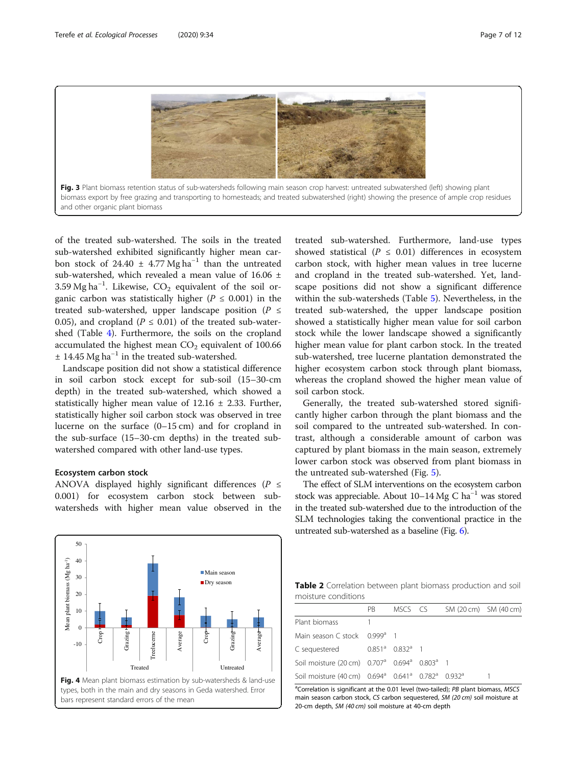<span id="page-6-0"></span>



of the treated sub-watershed. The soils in the treated sub-watershed exhibited significantly higher mean carbon stock of 24.40 ± 4.77 Mg ha<sup>-1</sup> than the untreated sub-watershed, which revealed a mean value of 16.06 ± 3.59 Mg ha<sup>-1</sup>. Likewise,  $CO_2$  equivalent of the soil organic carbon was statistically higher ( $P \leq 0.001$ ) in the treated sub-watershed, upper landscape position ( $P \leq$ 0.05), and cropland ( $P \le 0.01$ ) of the treated sub-watershed (Table [4](#page-7-0)). Furthermore, the soils on the cropland accumulated the highest mean  $CO<sub>2</sub>$  equivalent of 100.66  $± 14.45 Mg ha^{-1}$  in the treated sub-watershed.

Landscape position did not show a statistical difference in soil carbon stock except for sub-soil (15–30-cm depth) in the treated sub-watershed, which showed a statistically higher mean value of  $12.16 \pm 2.33$ . Further, statistically higher soil carbon stock was observed in tree lucerne on the surface (0–15 cm) and for cropland in the sub-surface (15–30-cm depths) in the treated subwatershed compared with other land-use types.

#### Ecosystem carbon stock

ANOVA displayed highly significant differences ( $P \leq$ 0.001) for ecosystem carbon stock between subwatersheds with higher mean value observed in the treated sub-watershed. Furthermore, land-use types showed statistical ( $P \leq 0.01$ ) differences in ecosystem carbon stock, with higher mean values in tree lucerne and cropland in the treated sub-watershed. Yet, landscape positions did not show a significant difference within the sub-watersheds (Table [5](#page-8-0)). Nevertheless, in the treated sub-watershed, the upper landscape position showed a statistically higher mean value for soil carbon stock while the lower landscape showed a significantly higher mean value for plant carbon stock. In the treated sub-watershed, tree lucerne plantation demonstrated the higher ecosystem carbon stock through plant biomass, whereas the cropland showed the higher mean value of soil carbon stock.

Generally, the treated sub-watershed stored significantly higher carbon through the plant biomass and the soil compared to the untreated sub-watershed. In contrast, although a considerable amount of carbon was captured by plant biomass in the main season, extremely lower carbon stock was observed from plant biomass in the untreated sub-watershed (Fig. [5](#page-8-0)).

The effect of SLM interventions on the ecosystem carbon stock was appreciable. About  $10-14$  Mg C ha<sup>-1</sup> was stored in the treated sub-watershed due to the introduction of the SLM technologies taking the conventional practice in the untreated sub-watershed as a baseline (Fig. [6](#page-8-0)).



Table 2 Correlation between plant biomass production and soil moisture conditions

|                                                                                                   | PB. | MSCS CS | SM (20 cm) SM (40 cm) |  |
|---------------------------------------------------------------------------------------------------|-----|---------|-----------------------|--|
| Plant biomass                                                                                     |     |         |                       |  |
| Main season C stock 0.999 <sup>a</sup> 1                                                          |     |         |                       |  |
| C sequestered $0.851^a$ $0.832^a$ 1                                                               |     |         |                       |  |
| Soil moisture (20 cm) 0.707 <sup>a</sup> 0.694 <sup>a</sup> 0.803 <sup>a</sup> 1                  |     |         |                       |  |
| Soil moisture (40 cm) 0.694 <sup>a</sup> 0.641 <sup>a</sup> 0.782 <sup>a</sup> 0.932 <sup>a</sup> |     |         |                       |  |
|                                                                                                   |     |         |                       |  |

<sup>a</sup>Correlation is significant at the 0.01 level (two-tailed); *PB* plant biomass, *MSCS*<br>main season carbon stock CS carbon sequestered SM (20 cm) soil moisture at main season carbon stock, CS carbon sequestered, SM (20 cm) soil moisture at 20-cm depth, SM (40 cm) soil moisture at 40-cm depth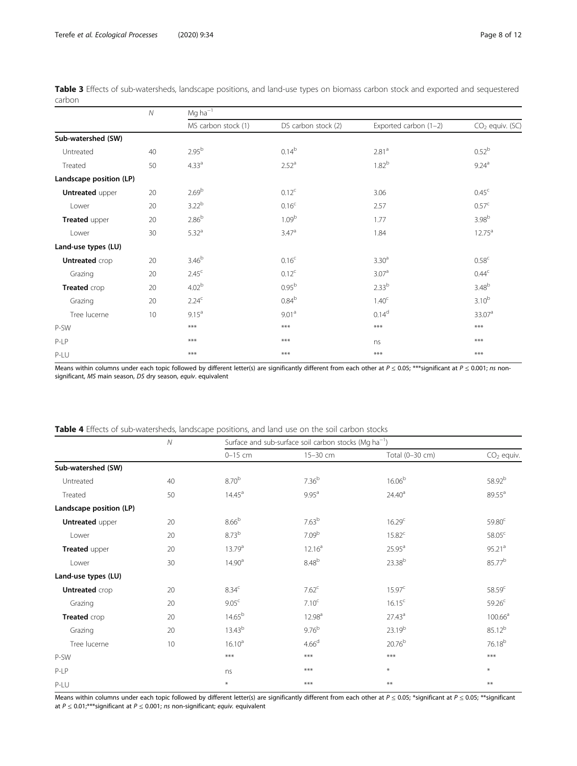|                         | ${\cal N}$ | $Mg$ ha $^{-1}$     |                     |                       |                    |  |  |  |  |
|-------------------------|------------|---------------------|---------------------|-----------------------|--------------------|--|--|--|--|
|                         |            | MS carbon stock (1) | DS carbon stock (2) | Exported carbon (1-2) | $CO2$ equiv. (SC)  |  |  |  |  |
| Sub-watershed (SW)      |            |                     |                     |                       |                    |  |  |  |  |
| Untreated               | 40         | $2.95^{b}$          | $0.14^{b}$          | 2.81 <sup>a</sup>     | 0.52 <sup>b</sup>  |  |  |  |  |
| Treated                 | 50         | 4.33 <sup>a</sup>   | 2.52 <sup>a</sup>   | 1.82 <sup>b</sup>     | $9.24^{a}$         |  |  |  |  |
| Landscape position (LP) |            |                     |                     |                       |                    |  |  |  |  |
| <b>Untreated upper</b>  | 20         | 2.69 <sup>b</sup>   | 0.12 <sup>c</sup>   | 3.06                  | 0.45 <sup>c</sup>  |  |  |  |  |
| Lower                   | 20         | 3.22 <sup>b</sup>   | 0.16 <sup>c</sup>   | 2.57                  | 0.57 <sup>c</sup>  |  |  |  |  |
| Treated upper           | 20         | 2.86 <sup>b</sup>   | 1.09 <sup>b</sup>   | 1.77                  | 3.98 <sup>b</sup>  |  |  |  |  |
| Lower                   | 30         | 5.32 <sup>a</sup>   | 3.47 <sup>a</sup>   | 1.84                  | $12.75^{\text{a}}$ |  |  |  |  |
| Land-use types (LU)     |            |                     |                     |                       |                    |  |  |  |  |
| <b>Untreated</b> crop   | 20         | 3.46 <sup>b</sup>   | 0.16 <sup>c</sup>   | 3.30 <sup>a</sup>     | 0.58 <sup>c</sup>  |  |  |  |  |
| Grazing                 | 20         | 2.45 <sup>c</sup>   | 0.12 <sup>c</sup>   | 3.07 <sup>a</sup>     | 0.44 <sup>c</sup>  |  |  |  |  |
| Treated crop            | 20         | 4.02 <sup>b</sup>   | 0.95 <sup>b</sup>   | $2.33^{b}$            | 3.48 <sup>b</sup>  |  |  |  |  |
| Grazing                 | 20         | 2.24 <sup>c</sup>   | $0.84^{b}$          | 1.40 <sup>c</sup>     | $3.10^{b}$         |  |  |  |  |
| Tree lucerne            | 10         | 9.15 <sup>a</sup>   | 9.01 <sup>a</sup>   | $0.14^{d}$            | 33.07 <sup>a</sup> |  |  |  |  |
| P-SW                    |            | $***$               | $***$               | $***$                 | $***$              |  |  |  |  |
| P-LP                    |            | ***                 | ***                 | ns                    | $***$              |  |  |  |  |
| P-LU                    |            | ***                 | ***                 | ***                   | $***$              |  |  |  |  |

<span id="page-7-0"></span>Table 3 Effects of sub-watersheds, landscape positions, and land-use types on biomass carbon stock and exported and sequestered carbon

Means within columns under each topic followed by different letter(s) are significantly different from each other at  $P \le 0.05$ ; \*\*\*significant at  $P \le 0.001$ ; ns nonsignificant, MS main season, DS dry season, equiv. equivalent

| Table 4 Effects of sub-watersheds, landscape positions, and land use on the soil carbon stocks |  |  |  |  |  |  |  |
|------------------------------------------------------------------------------------------------|--|--|--|--|--|--|--|
|------------------------------------------------------------------------------------------------|--|--|--|--|--|--|--|

|                         | $\mathcal N$ | Surface and sub-surface soil carbon stocks (Mg ha <sup>-1</sup> ) |                    |                    |                     |
|-------------------------|--------------|-------------------------------------------------------------------|--------------------|--------------------|---------------------|
|                         |              | $0-15$ cm                                                         | 15-30 cm           | Total (0-30 cm)    | $CO2$ equiv.        |
| Sub-watershed (SW)      |              |                                                                   |                    |                    |                     |
| Untreated               | 40           | 8.70 <sup>b</sup>                                                 | $7.36^{b}$         | 16.06 <sup>b</sup> | 58.92 <sup>b</sup>  |
| Treated                 | 50           | 14.45 <sup>a</sup>                                                | $9.95^{a}$         | 24.40 <sup>a</sup> | $89.55^{\circ}$     |
| Landscape position (LP) |              |                                                                   |                    |                    |                     |
| <b>Untreated</b> upper  | 20           | 8.66 <sup>b</sup>                                                 | 7.63 <sup>b</sup>  | 16.29 <sup>c</sup> | 59.80 <sup>c</sup>  |
| Lower                   | 20           | $8.73^{b}$                                                        | 7.09 <sup>b</sup>  | $15.82^c$          | 58.05 <sup>c</sup>  |
| Treated upper           | 20           | 13.79 <sup>a</sup>                                                | 12.16 <sup>a</sup> | $25.95^{\text{a}}$ | 95.21 <sup>a</sup>  |
| Lower                   | 30           | 14.90 <sup>a</sup>                                                | 8.48 <sup>b</sup>  | 23.38 <sup>b</sup> | 85.77 <sup>b</sup>  |
| Land-use types (LU)     |              |                                                                   |                    |                    |                     |
| <b>Untreated</b> crop   | 20           | 8.34 <sup>c</sup>                                                 | 7.62 <sup>c</sup>  | 15.97 <sup>c</sup> | 58.59 <sup>c</sup>  |
| Grazing                 | 20           | 9.05 <sup>c</sup>                                                 | 7.10 <sup>c</sup>  | $16.15^c$          | 59.26 <sup>c</sup>  |
| Treated crop            | 20           | $14.65^{\rm b}$                                                   | 12.98 <sup>a</sup> | 27.43 <sup>a</sup> | 100.66 <sup>a</sup> |
| Grazing                 | 20           | $13.43^{b}$                                                       | 9.76 <sup>b</sup>  | 23.19 <sup>b</sup> | 85.12 <sup>b</sup>  |
| Tree lucerne            | 10           | 16.10 <sup>a</sup>                                                | 4.66 <sup>d</sup>  | $20.76^{b}$        | 76.18 <sup>b</sup>  |
| P-SW                    |              | $***$                                                             | ***                | ***                | ***                 |
| $P-LP$                  |              | ns                                                                | ***                | $\ast$             | $\ast$              |
| P-LU                    |              | $\ast$                                                            | $***$              | $**$               | **                  |

Means within columns under each topic followed by different letter(s) are significantly different from each other at  $P \le 0.05$ ; \*significant at  $P \le 0.05$ ; \*\*significant at  $P \leq 0.01$ ,\*\*\*significant at  $P \leq 0.001$ ; ns non-significant; equiv. equivalent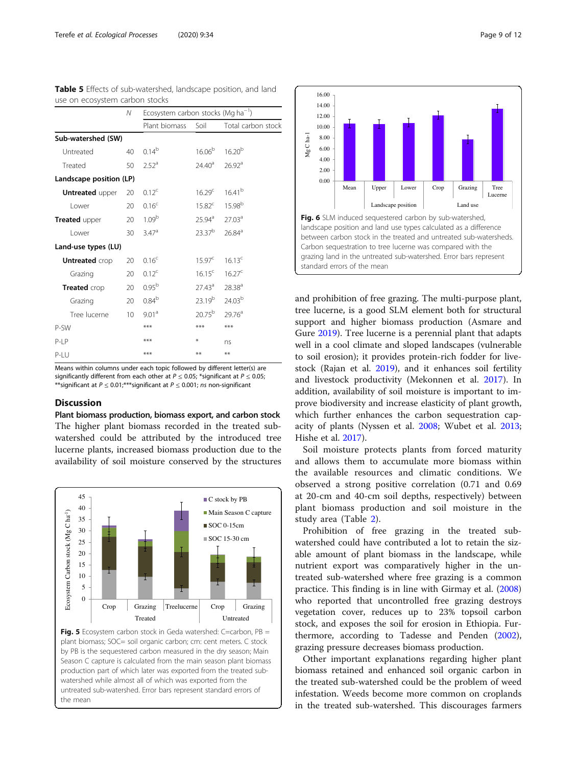| USE UIT ELUSYSIEITI LAIDUIT SIULNS |                 |                                                |                    |                    |  |  |  |
|------------------------------------|-----------------|------------------------------------------------|--------------------|--------------------|--|--|--|
|                                    | N               | Ecosystem carbon stocks (Mg ha <sup>-1</sup> ) |                    |                    |  |  |  |
|                                    |                 | Plant biomass                                  | Soil               | Total carbon stock |  |  |  |
| Sub-watershed (SW)                 |                 |                                                |                    |                    |  |  |  |
| Untreated                          | 40              | $0.14^{b}$                                     | 16.06 <sup>b</sup> | $16.20^{b}$        |  |  |  |
| Treated                            | 50              | 2.52 <sup>a</sup>                              | $24.40^{\circ}$    | 26.92 <sup>a</sup> |  |  |  |
| Landscape position (LP)            |                 |                                                |                    |                    |  |  |  |
| <b>Untreated upper</b>             | 20              | $0.12^{\circ}$                                 | 16.29 <sup>c</sup> | $16.41^{b}$        |  |  |  |
| Lower                              | 20              | 0.16 <sup>c</sup>                              | 15.82 <sup>c</sup> | $15.98^{b}$        |  |  |  |
| Treated upper                      | 20              | 1.09 <sup>b</sup>                              | $25.94^{\circ}$    | 27.03 <sup>a</sup> |  |  |  |
| Lower                              | 30              | 3.47 <sup>a</sup>                              | 23.37 <sup>b</sup> | 26.84 <sup>a</sup> |  |  |  |
| Land-use types (LU)                |                 |                                                |                    |                    |  |  |  |
| <b>Untreated</b> crop              | 20              | 0.16 <sup>c</sup>                              | 15.97 <sup>c</sup> | 16.13 <sup>c</sup> |  |  |  |
| Grazing                            | 20              | 0.12 <sup>c</sup>                              | $16.15^c$          | $16.27^c$          |  |  |  |
| Treated crop                       | 20              | 0.95 <sup>b</sup>                              | $27.43^{\circ}$    | 28.38 <sup>a</sup> |  |  |  |
| Grazing                            | 20              | $0.84^{b}$                                     | 23.19 <sup>b</sup> | 24.03 <sup>b</sup> |  |  |  |
| Tree lucerne                       | 10 <sup>°</sup> | 9.01 <sup>a</sup>                              | $20.75^{\rm b}$    | 29.76 <sup>a</sup> |  |  |  |
| P-SW                               |                 | ***                                            | ***                | ***                |  |  |  |
| $P-I$ $P$                          |                 | ***                                            | ⋇                  | ns                 |  |  |  |
| $P-I$                              |                 | ***                                            | **                 | **                 |  |  |  |

<span id="page-8-0"></span>

|  | Table 5 Effects of sub-watershed, landscape position, and land |  |  |
|--|----------------------------------------------------------------|--|--|
|  | use on ecosystem carbon stocks                                 |  |  |

Means within columns under each topic followed by different letter(s) are significantly different from each other at  $P \le 0.05$ ; \*significant at  $P \le 0.05$ ; \*\*significant at  $P \le 0.01$ ;\*\*\*significant at  $P \le 0.001$ ; ns non-significant

#### **Discussion**

Plant biomass production, biomass export, and carbon stock The higher plant biomass recorded in the treated subwatershed could be attributed by the introduced tree lucerne plants, increased biomass production due to the availability of soil moisture conserved by the structures







and prohibition of free grazing. The multi-purpose plant, tree lucerne, is a good SLM element both for structural support and higher biomass production (Asmare and Gure [2019](#page-11-0)). Tree lucerne is a perennial plant that adapts well in a cool climate and sloped landscapes (vulnerable to soil erosion); it provides protein-rich fodder for livestock (Rajan et al. [2019\)](#page-11-0), and it enhances soil fertility and livestock productivity (Mekonnen et al. [2017](#page-11-0)). In addition, availability of soil moisture is important to improve biodiversity and increase elasticity of plant growth, which further enhances the carbon sequestration capacity of plants (Nyssen et al. [2008](#page-11-0); Wubet et al. [2013](#page-11-0); Hishe et al. [2017](#page-11-0)).

Soil moisture protects plants from forced maturity and allows them to accumulate more biomass within the available resources and climatic conditions. We observed a strong positive correlation (0.71 and 0.69 at 20-cm and 40-cm soil depths, respectively) between plant biomass production and soil moisture in the study area (Table [2\)](#page-6-0).

Prohibition of free grazing in the treated subwatershed could have contributed a lot to retain the sizable amount of plant biomass in the landscape, while nutrient export was comparatively higher in the untreated sub-watershed where free grazing is a common practice. This finding is in line with Girmay et al. ([2008](#page-11-0)) who reported that uncontrolled free grazing destroys vegetation cover, reduces up to 23% topsoil carbon stock, and exposes the soil for erosion in Ethiopia. Furthermore, according to Tadesse and Penden ([2002](#page-11-0)), grazing pressure decreases biomass production.

Other important explanations regarding higher plant biomass retained and enhanced soil organic carbon in the treated sub-watershed could be the problem of weed infestation. Weeds become more common on croplands in the treated sub-watershed. This discourages farmers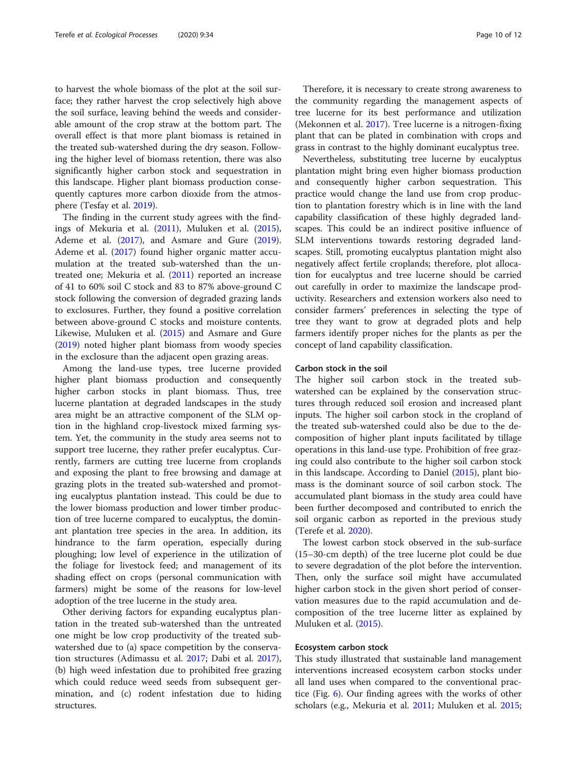to harvest the whole biomass of the plot at the soil surface; they rather harvest the crop selectively high above the soil surface, leaving behind the weeds and considerable amount of the crop straw at the bottom part. The overall effect is that more plant biomass is retained in the treated sub-watershed during the dry season. Following the higher level of biomass retention, there was also significantly higher carbon stock and sequestration in this landscape. Higher plant biomass production consequently captures more carbon dioxide from the atmosphere (Tesfay et al. [2019](#page-11-0)).

The finding in the current study agrees with the findings of Mekuria et al. [\(2011\)](#page-11-0), Muluken et al. ([2015](#page-11-0)), Ademe et al. [\(2017\)](#page-10-0), and Asmare and Gure ([2019](#page-11-0)). Ademe et al. ([2017\)](#page-10-0) found higher organic matter accumulation at the treated sub-watershed than the untreated one; Mekuria et al. [\(2011](#page-11-0)) reported an increase of 41 to 60% soil C stock and 83 to 87% above-ground C stock following the conversion of degraded grazing lands to exclosures. Further, they found a positive correlation between above-ground C stocks and moisture contents. Likewise, Muluken et al. [\(2015\)](#page-11-0) and Asmare and Gure ([2019](#page-11-0)) noted higher plant biomass from woody species in the exclosure than the adjacent open grazing areas.

Among the land-use types, tree lucerne provided higher plant biomass production and consequently higher carbon stocks in plant biomass. Thus, tree lucerne plantation at degraded landscapes in the study area might be an attractive component of the SLM option in the highland crop-livestock mixed farming system. Yet, the community in the study area seems not to support tree lucerne, they rather prefer eucalyptus. Currently, farmers are cutting tree lucerne from croplands and exposing the plant to free browsing and damage at grazing plots in the treated sub-watershed and promoting eucalyptus plantation instead. This could be due to the lower biomass production and lower timber production of tree lucerne compared to eucalyptus, the dominant plantation tree species in the area. In addition, its hindrance to the farm operation, especially during ploughing; low level of experience in the utilization of the foliage for livestock feed; and management of its shading effect on crops (personal communication with farmers) might be some of the reasons for low-level adoption of the tree lucerne in the study area.

Other deriving factors for expanding eucalyptus plantation in the treated sub-watershed than the untreated one might be low crop productivity of the treated subwatershed due to (a) space competition by the conservation structures (Adimassu et al. [2017](#page-10-0); Dabi et al. [2017](#page-11-0)), (b) high weed infestation due to prohibited free grazing which could reduce weed seeds from subsequent germination, and (c) rodent infestation due to hiding structures.

Therefore, it is necessary to create strong awareness to the community regarding the management aspects of tree lucerne for its best performance and utilization (Mekonnen et al. [2017](#page-11-0)). Tree lucerne is a nitrogen-fixing plant that can be plated in combination with crops and grass in contrast to the highly dominant eucalyptus tree.

Nevertheless, substituting tree lucerne by eucalyptus plantation might bring even higher biomass production and consequently higher carbon sequestration. This practice would change the land use from crop production to plantation forestry which is in line with the land capability classification of these highly degraded landscapes. This could be an indirect positive influence of SLM interventions towards restoring degraded landscapes. Still, promoting eucalyptus plantation might also negatively affect fertile croplands; therefore, plot allocation for eucalyptus and tree lucerne should be carried out carefully in order to maximize the landscape productivity. Researchers and extension workers also need to consider farmers' preferences in selecting the type of tree they want to grow at degraded plots and help farmers identify proper niches for the plants as per the concept of land capability classification.

#### Carbon stock in the soil

The higher soil carbon stock in the treated subwatershed can be explained by the conservation structures through reduced soil erosion and increased plant inputs. The higher soil carbon stock in the cropland of the treated sub-watershed could also be due to the decomposition of higher plant inputs facilitated by tillage operations in this land-use type. Prohibition of free grazing could also contribute to the higher soil carbon stock in this landscape. According to Daniel ([2015](#page-11-0)), plant biomass is the dominant source of soil carbon stock. The accumulated plant biomass in the study area could have been further decomposed and contributed to enrich the soil organic carbon as reported in the previous study (Terefe et al. [2020](#page-11-0)).

The lowest carbon stock observed in the sub-surface (15–30-cm depth) of the tree lucerne plot could be due to severe degradation of the plot before the intervention. Then, only the surface soil might have accumulated higher carbon stock in the given short period of conservation measures due to the rapid accumulation and decomposition of the tree lucerne litter as explained by Muluken et al. [\(2015](#page-11-0)).

#### Ecosystem carbon stock

This study illustrated that sustainable land management interventions increased ecosystem carbon stocks under all land uses when compared to the conventional practice (Fig. [6](#page-6-0)). Our finding agrees with the works of other scholars (e.g., Mekuria et al. [2011;](#page-11-0) Muluken et al. [2015](#page-11-0);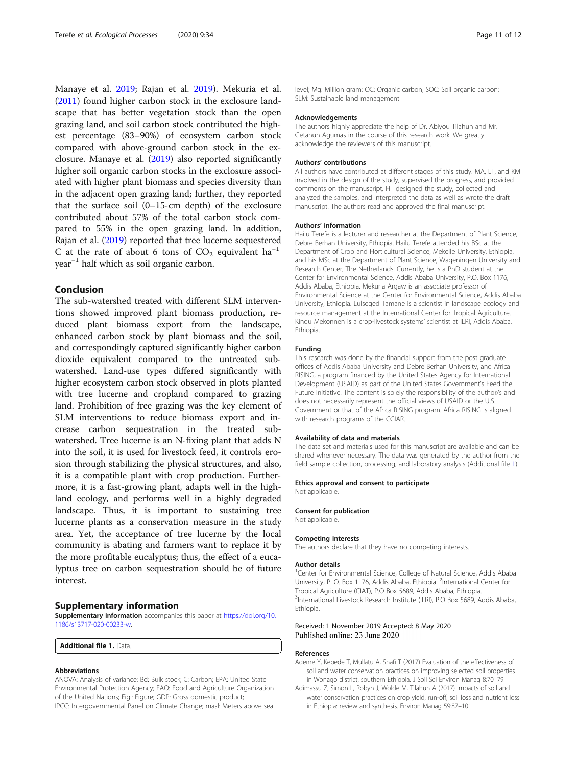<span id="page-10-0"></span>Manaye et al. [2019](#page-11-0); Rajan et al. [2019\)](#page-11-0). Mekuria et al. ([2011](#page-11-0)) found higher carbon stock in the exclosure landscape that has better vegetation stock than the open grazing land, and soil carbon stock contributed the highest percentage (83–90%) of ecosystem carbon stock compared with above-ground carbon stock in the exclosure. Manaye et al. [\(2019\)](#page-11-0) also reported significantly higher soil organic carbon stocks in the exclosure associated with higher plant biomass and species diversity than in the adjacent open grazing land; further, they reported that the surface soil (0–15-cm depth) of the exclosure contributed about 57% of the total carbon stock compared to 55% in the open grazing land. In addition, Rajan et al. [\(2019\)](#page-11-0) reported that tree lucerne sequestered C at the rate of about 6 tons of  $CO_2$  equivalent ha<sup>-1</sup> year−<sup>1</sup> half which as soil organic carbon.

#### Conclusion

The sub-watershed treated with different SLM interventions showed improved plant biomass production, reduced plant biomass export from the landscape, enhanced carbon stock by plant biomass and the soil, and correspondingly captured significantly higher carbon dioxide equivalent compared to the untreated subwatershed. Land-use types differed significantly with higher ecosystem carbon stock observed in plots planted with tree lucerne and cropland compared to grazing land. Prohibition of free grazing was the key element of SLM interventions to reduce biomass export and increase carbon sequestration in the treated subwatershed. Tree lucerne is an N-fixing plant that adds N into the soil, it is used for livestock feed, it controls erosion through stabilizing the physical structures, and also, it is a compatible plant with crop production. Furthermore, it is a fast-growing plant, adapts well in the highland ecology, and performs well in a highly degraded landscape. Thus, it is important to sustaining tree lucerne plants as a conservation measure in the study area. Yet, the acceptance of tree lucerne by the local community is abating and farmers want to replace it by the more profitable eucalyptus; thus, the effect of a eucalyptus tree on carbon sequestration should be of future interest.

#### Supplementary information

Supplementary information accompanies this paper at [https://doi.org/10.](https://doi.org/10.1186/s13717-020-00233-w) [1186/s13717-020-00233-w](https://doi.org/10.1186/s13717-020-00233-w).

Additional file 1. Data.

#### Abbreviations

ANOVA: Analysis of variance; Bd: Bulk stock; C: Carbon; EPA: United State Environmental Protection Agency; FAO: Food and Agriculture Organization of the United Nations; Fig.: Figure; GDP: Gross domestic product; IPCC: Intergovernmental Panel on Climate Change; masl: Meters above sea

level; Mg: Million gram; OC: Organic carbon; SOC: Soil organic carbon; SLM: Sustainable land management

#### Acknowledgements

The authors highly appreciate the help of Dr. Abiyou Tilahun and Mr. Getahun Agumas in the course of this research work. We greatly acknowledge the reviewers of this manuscript.

#### Authors' contributions

All authors have contributed at different stages of this study. MA, LT, and KM involved in the design of the study, supervised the progress, and provided comments on the manuscript. HT designed the study, collected and analyzed the samples, and interpreted the data as well as wrote the draft manuscript. The authors read and approved the final manuscript.

#### Authors' information

Hailu Terefe is a lecturer and researcher at the Department of Plant Science, Debre Berhan University, Ethiopia. Hailu Terefe attended his BSc at the Department of Crop and Horticultural Science, Mekelle University, Ethiopia, and his MSc at the Department of Plant Science, Wageningen University and Research Center, The Netherlands. Currently, he is a PhD student at the Center for Environmental Science, Addis Ababa University, P.O. Box 1176, Addis Ababa, Ethiopia. Mekuria Argaw is an associate professor of Environmental Science at the Center for Environmental Science, Addis Ababa University, Ethiopia. Lulseged Tamane is a scientist in landscape ecology and resource management at the International Center for Tropical Agriculture. Kindu Mekonnen is a crop-livestock systems' scientist at ILRI, Addis Ababa, Ethiopia.

#### Funding

This research was done by the financial support from the post graduate offices of Addis Ababa University and Debre Berhan University, and Africa RISING, a program financed by the United States Agency for International Development (USAID) as part of the United States Government's Feed the Future Initiative. The content is solely the responsibility of the author/s and does not necessarily represent the official views of USAID or the U.S. Government or that of the Africa RISING program. Africa RISING is aligned with research programs of the CGIAR.

#### Availability of data and materials

The data set and materials used for this manuscript are available and can be shared whenever necessary. The data was generated by the author from the field sample collection, processing, and laboratory analysis (Additional file 1).

#### Ethics approval and consent to participate

Not applicable.

#### Consent for publication Not applicable.

#### Competing interests

The authors declare that they have no competing interests.

#### Author details

<sup>1</sup> Center for Environmental Science, College of Natural Science, Addis Ababa University, P. O. Box 1176, Addis Ababa, Ethiopia. <sup>2</sup>International Center for Tropical Agriculture (CIAT), P.O Box 5689, Addis Ababa, Ethiopia. <sup>3</sup>International Livestock Research Institute (ILRI), P.O Box 5689, Addis Ababa, Ethiopia.

#### Received: 1 November 2019 Accepted: 8 May 2020 Published online: 23 June 2020

#### References

- Ademe Y, Kebede T, Mullatu A, Shafi T (2017) Evaluation of the effectiveness of soil and water conservation practices on improving selected soil properties in Wonago district, southern Ethiopia. J Soil Sci Environ Manag 8:70–79
- Adimassu Z, Simon L, Robyn J, Wolde M, Tilahun A (2017) Impacts of soil and water conservation practices on crop yield, run-off, soil loss and nutrient loss in Ethiopia: review and synthesis. Environ Manag 59:87–101